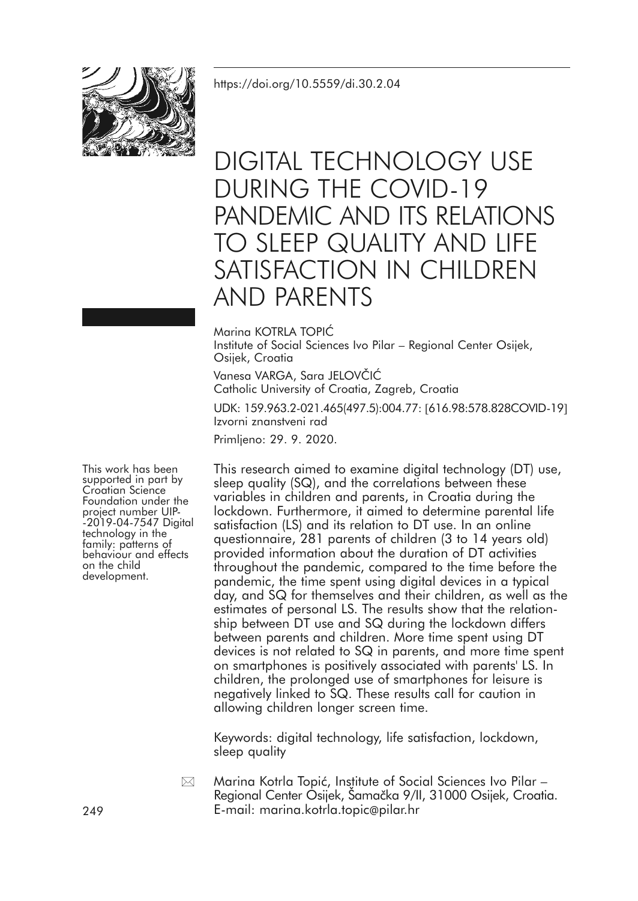

# DIGITAL TECHNOLOGY USE DURING THE COVID-19 PANDEMIC AND ITS RELATIONS TO SLEEP QUALITY AND LIFE SATISFACTION IN CHILDREN AND PARENTS

#### Marina KOTRLA TOPIĆ

Institute of Social Sciences Ivo Pilar – Regional Center Osijek, Osijek, Croatia

Vanesa VARGA, Sara JELOVČIĆ Catholic University of Croatia, Zagreb, Croatia

UDK: 159.963.2-021.465(497.5):004.77: [616.98:578.828COVID-19] Izvorni znanstveni rad

Primljeno: 29. 9. 2020.

This work has been supported in part by Foundation under the<br>project number UIP-<br>-2019-04-7547 Digital<br>technology in the family: patterns of behaviour and effects on the child development.

This research aimed to examine digital technology (DT) use, sleep quality (SQ), and the correlations between these variables in children and parents, in Croatia during the lockdown. Furthermore, it aimed to determine parental life satisfaction (LS) and its relation to DT use. In an online questionnaire, 281 parents of children (3 to 14 years old) provided information about the duration of DT activities throughout the pandemic, compared to the time before the pandemic, the time spent using digital devices in a typical day, and SQ for themselves and their children, as well as the estimates of personal LS. The results show that the relationship between DT use and SQ during the lockdown differs between parents and children. More time spent using DT devices is not related to SQ in parents, and more time spent on smartphones is positively associated with parents' LS. In children, the prolonged use of smartphones for leisure is negatively linked to SQ. These results call for caution in allowing children longer screen time.

Keywords: digital technology, life satisfaction, lockdown, sleep quality

Marina Kotrla Topić, Institute of Social Sciences Ivo Pilar – Regional Center Osijek, Šamačka 9/II, 31000 Osijek, Croatia. 249 E-mail: marina.kotrla.topic@pilar.hr  $\boxtimes$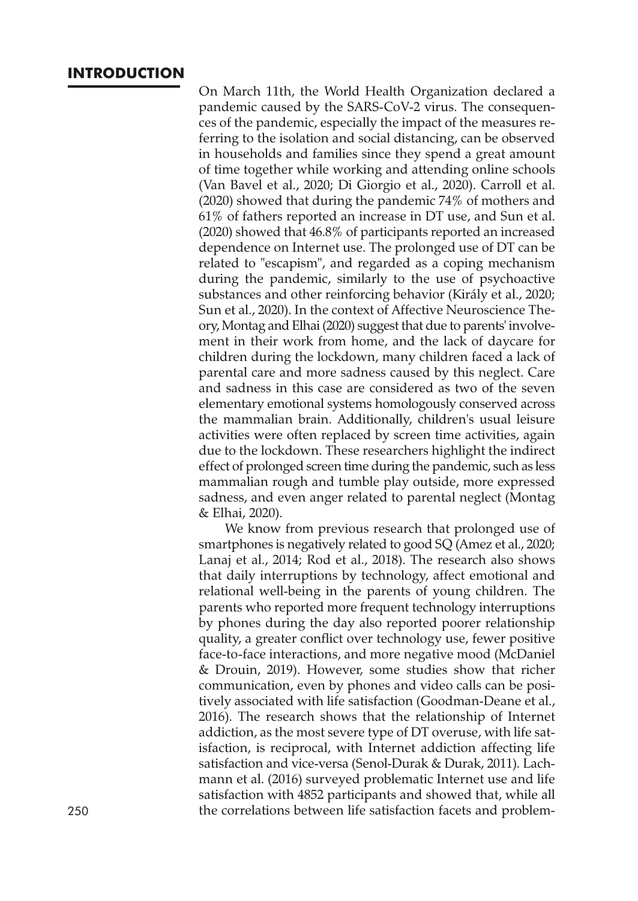#### **INTRODUCTION**

On March 11th, the World Health Organization declared a pandemic caused by the SARS-CoV-2 virus. The consequences of the pandemic, especially the impact of the measures referring to the isolation and social distancing, can be observed in households and families since they spend a great amount of time together while working and attending online schools (Van Bavel et al., 2020; Di Giorgio et al., 2020). Carroll et al. (2020) showed that during the pandemic 74% of mothers and 61% of fathers reported an increase in DT use, and Sun et al. (2020) showed that 46.8% of participants reported an increased dependence on Internet use. The prolonged use of DT can be related to "escapism", and regarded as a coping mechanism during the pandemic, similarly to the use of psychoactive substances and other reinforcing behavior (Király et al., 2020; Sun et al., 2020). In the context of Affective Neuroscience Theory, Montag and Elhai (2020) suggest that due to parents' involvement in their work from home, and the lack of daycare for children during the lockdown, many children faced a lack of parental care and more sadness caused by this neglect. Care and sadness in this case are considered as two of the seven elementary emotional systems homologously conserved across the mammalian brain. Additionally, children's usual leisure activities were often replaced by screen time activities, again due to the lockdown. These researchers highlight the indirect effect of prolonged screen time during the pandemic, such as less mammalian rough and tumble play outside, more expressed sadness, and even anger related to parental neglect (Montag & Elhai, 2020).

We know from previous research that prolonged use of smartphones is negatively related to good SQ (Amez et al., 2020; Lanaj et al., 2014; Rod et al., 2018). The research also shows that daily interruptions by technology, affect emotional and relational well-being in the parents of young children. The parents who reported more frequent technology interruptions by phones during the day also reported poorer relationship quality, a greater conflict over technology use, fewer positive face-to-face interactions, and more negative mood (McDaniel & Drouin, 2019). However, some studies show that richer communication, even by phones and video calls can be positively associated with life satisfaction (Goodman-Deane et al., 2016). The research shows that the relationship of Internet addiction, as the most severe type of DT overuse, with life satisfaction, is reciprocal, with Internet addiction affecting life satisfaction and vice-versa (Senol-Durak & Durak, 2011). Lachmann et al. (2016) surveyed problematic Internet use and life satisfaction with 4852 participants and showed that, while all 250 the correlations between life satisfaction facets and problem-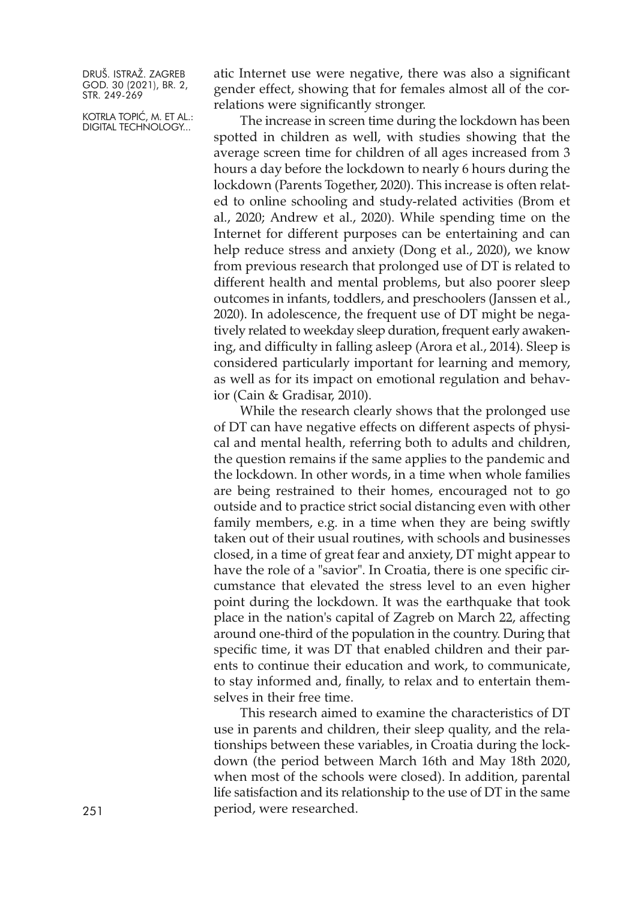KOTRLA TOPIĆ, M. ET AL.: DIGITAL TECHNOLOGY...

atic Internet use were negative, there was also a significant gender effect, showing that for females almost all of the correlations were significantly stronger.

The increase in screen time during the lockdown has been spotted in children as well, with studies showing that the average screen time for children of all ages increased from 3 hours a day before the lockdown to nearly 6 hours during the lockdown (Parents Together, 2020). This increase is often related to online schooling and study-related activities (Brom et al., 2020; Andrew et al., 2020). While spending time on the Internet for different purposes can be entertaining and can help reduce stress and anxiety (Dong et al., 2020), we know from previous research that prolonged use of DT is related to different health and mental problems, but also poorer sleep outcomes in infants, toddlers, and preschoolers (Janssen et al., 2020). In adolescence, the frequent use of DT might be negatively related to weekday sleep duration, frequent early awakening, and difficulty in falling asleep (Arora et al., 2014). Sleep is considered particularly important for learning and memory, as well as for its impact on emotional regulation and behavior (Cain & Gradisar, 2010).

While the research clearly shows that the prolonged use of DT can have negative effects on different aspects of physical and mental health, referring both to adults and children, the question remains if the same applies to the pandemic and the lockdown. In other words, in a time when whole families are being restrained to their homes, encouraged not to go outside and to practice strict social distancing even with other family members, e.g. in a time when they are being swiftly taken out of their usual routines, with schools and businesses closed, in a time of great fear and anxiety, DT might appear to have the role of a "savior". In Croatia, there is one specific circumstance that elevated the stress level to an even higher point during the lockdown. It was the earthquake that took place in the nation's capital of Zagreb on March 22, affecting around one-third of the population in the country. During that specific time, it was DT that enabled children and their parents to continue their education and work, to communicate, to stay informed and, finally, to relax and to entertain themselves in their free time.

This research aimed to examine the characteristics of DT use in parents and children, their sleep quality, and the relationships between these variables, in Croatia during the lockdown (the period between March 16th and May 18th 2020, when most of the schools were closed). In addition, parental life satisfaction and its relationship to the use of DT in the same period, were researched.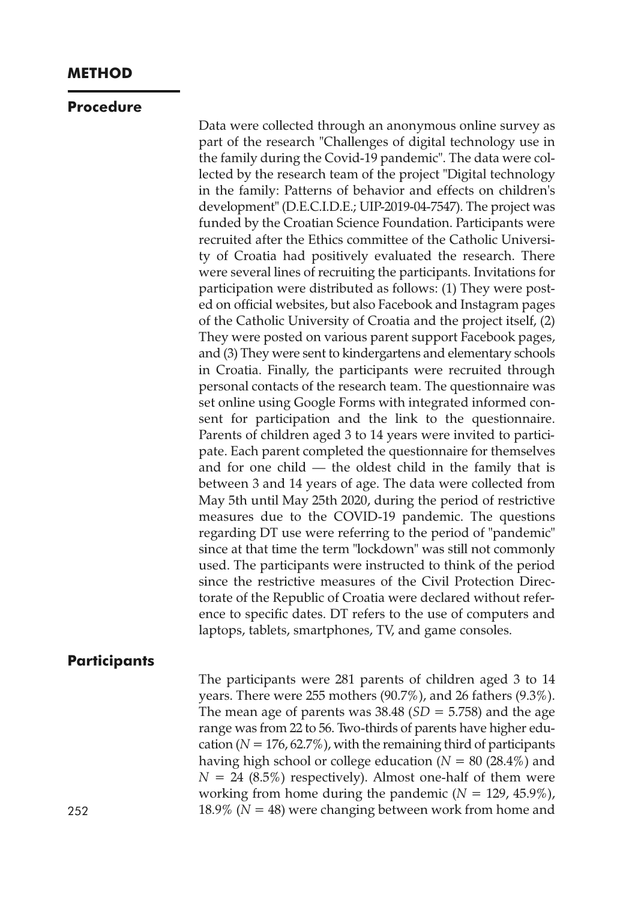# **METHOD**

#### **Procedure**

Data were collected through an anonymous online survey as part of the research "Challenges of digital technology use in the family during the Covid-19 pandemic". The data were collected by the research team of the project "Digital technology in the family: Patterns of behavior and effects on children's development" (D.E.C.I.D.E.; UIP-2019-04-7547). The project was funded by the Croatian Science Foundation. Participants were recruited after the Ethics committee of the Catholic University of Croatia had positively evaluated the research. There were several lines of recruiting the participants. Invitations for participation were distributed as follows: (1) They were posted on official websites, but also Facebook and Instagram pages of the Catholic University of Croatia and the project itself, (2) They were posted on various parent support Facebook pages, and (3) They were sent to kindergartens and elementary schools in Croatia. Finally, the participants were recruited through personal contacts of the research team. The questionnaire was set online using Google Forms with integrated informed consent for participation and the link to the questionnaire. Parents of children aged 3 to 14 years were invited to participate. Each parent completed the questionnaire for themselves and for one child — the oldest child in the family that is between 3 and 14 years of age. The data were collected from May 5th until May 25th 2020, during the period of restrictive measures due to the COVID-19 pandemic. The questions regarding DT use were referring to the period of "pandemic" since at that time the term "lockdown" was still not commonly used. The participants were instructed to think of the period since the restrictive measures of the Civil Protection Directorate of the Republic of Croatia were declared without reference to specific dates. DT refers to the use of computers and laptops, tablets, smartphones, TV, and game consoles.

# **Participants**

The participants were 281 parents of children aged 3 to 14 years. There were 255 mothers (90.7%), and 26 fathers (9.3%). The mean age of parents was  $38.48$  (*SD* = 5.758) and the age range was from 22 to 56. Two-thirds of parents have higher education ( $N = 176, 62.7\%)$ , with the remaining third of participants having high school or college education  $(N = 80 (28.4\%)$  and  $N = 24$  (8.5%) respectively). Almost one-half of them were working from home during the pandemic (*N* = 129, 45.9%), 252 18.9% ( $N = 48$ ) were changing between work from home and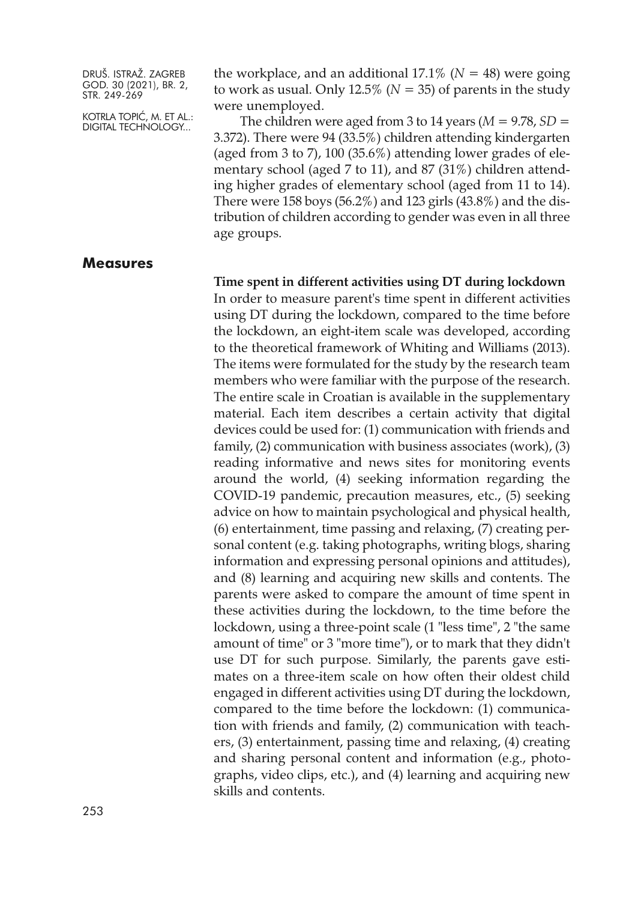KOTRLA TOPIĆ, M. ET AL.: DIGITAL TECHNOLOGY...

the workplace, and an additional  $17.1\%$  ( $N = 48$ ) were going to work as usual. Only  $12.5\%$  ( $N = 35$ ) of parents in the study were unemployed.

The children were aged from 3 to 14 years  $(M = 9.78, SD =$ 3.372). There were 94 (33.5%) children attending kindergarten (aged from 3 to 7), 100 (35.6%) attending lower grades of elementary school (aged 7 to 11), and 87 (31%) children attending higher grades of elementary school (aged from 11 to 14). There were 158 boys (56.2%) and 123 girls (43.8%) and the distribution of children according to gender was even in all three age groups.

#### **Measures**

#### **Time spent in different activities using DT during lockdown**

In order to measure parent's time spent in different activities using DT during the lockdown, compared to the time before the lockdown, an eight-item scale was developed, according to the theoretical framework of Whiting and Williams (2013). The items were formulated for the study by the research team members who were familiar with the purpose of the research. The entire scale in Croatian is available in the supplementary material. Each item describes a certain activity that digital devices could be used for: (1) communication with friends and family, (2) communication with business associates (work), (3) reading informative and news sites for monitoring events around the world, (4) seeking information regarding the COVID-19 pandemic, precaution measures, etc., (5) seeking advice on how to maintain psychological and physical health, (6) entertainment, time passing and relaxing, (7) creating personal content (e.g. taking photographs, writing blogs, sharing information and expressing personal opinions and attitudes), and (8) learning and acquiring new skills and contents. The parents were asked to compare the amount of time spent in these activities during the lockdown, to the time before the lockdown, using a three-point scale (1 "less time", 2 "the same amount of time" or 3 "more time"), or to mark that they didn't use DT for such purpose. Similarly, the parents gave estimates on a three-item scale on how often their oldest child engaged in different activities using DT during the lockdown, compared to the time before the lockdown: (1) communication with friends and family, (2) communication with teachers, (3) entertainment, passing time and relaxing, (4) creating and sharing personal content and information (e.g., photographs, video clips, etc.), and (4) learning and acquiring new skills and contents.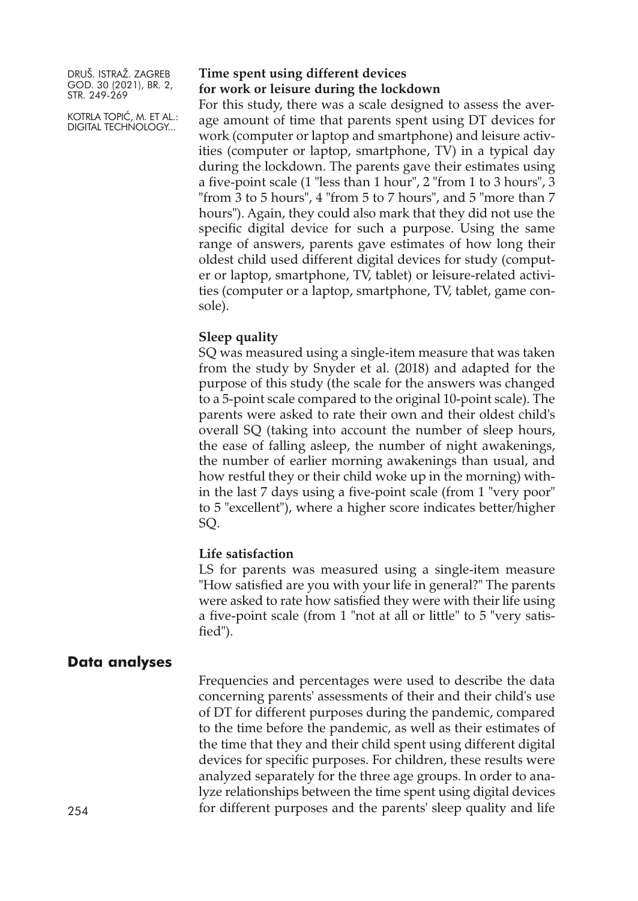KOTRLA TOPIĆ, M. ET AL.: DIGITAL TECHNOLOGY...

#### **Time spent using different devices for work or leisure during the lockdown**

For this study, there was a scale designed to assess the average amount of time that parents spent using DT devices for work (computer or laptop and smartphone) and leisure activities (computer or laptop, smartphone, TV) in a typical day during the lockdown. The parents gave their estimates using a five-point scale (1 "less than 1 hour", 2 "from 1 to 3 hours", 3 "from 3 to 5 hours", 4 "from 5 to 7 hours", and 5 "more than 7 hours"). Again, they could also mark that they did not use the specific digital device for such a purpose. Using the same range of answers, parents gave estimates of how long their oldest child used different digital devices for study (computer or laptop, smartphone, TV, tablet) or leisure-related activities (computer or a laptop, smartphone, TV, tablet, game console).

#### **Sleep quality**

SQ was measured using a single-item measure that was taken from the study by Snyder et al. (2018) and adapted for the purpose of this study (the scale for the answers was changed to a 5-point scale compared to the original 10-point scale). The parents were asked to rate their own and their oldest child's overall SQ (taking into account the number of sleep hours, the ease of falling asleep, the number of night awakenings, the number of earlier morning awakenings than usual, and how restful they or their child woke up in the morning) within the last 7 days using a five-point scale (from 1 "very poor" to 5 "excellent"), where a higher score indicates better/higher SQ.

#### **Life satisfaction**

LS for parents was measured using a single-item measure "How satisfied are you with your life in general?" The parents were asked to rate how satisfied they were with their life using a five-point scale (from 1 "not at all or little" to 5 "very satisfied").

#### **Data analyses**

Frequencies and percentages were used to describe the data concerning parents' assessments of their and their child's use of DT for different purposes during the pandemic, compared to the time before the pandemic, as well as their estimates of the time that they and their child spent using different digital devices for specific purposes. For children, these results were analyzed separately for the three age groups. In order to analyze relationships between the time spent using digital devices 254 for different purposes and the parents' sleep quality and life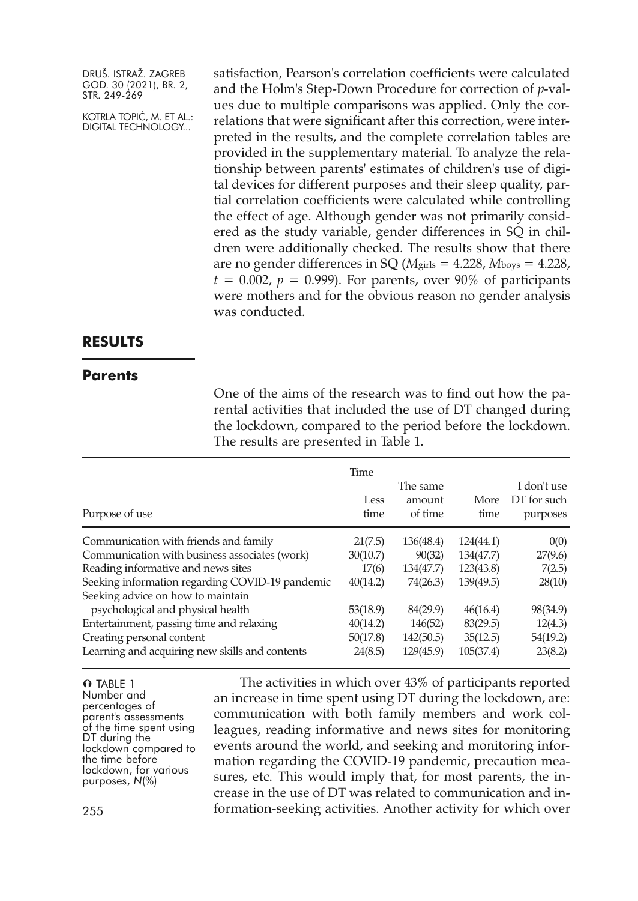KOTRLA TOPIĆ, M. ET AL.: DIGITAL TECHNOLOGY...

satisfaction, Pearson's correlation coefficients were calculated and the Holm's Step-Down Procedure for correction of *p*-values due to multiple comparisons was applied. Only the correlations that were significant after this correction, were interpreted in the results, and the complete correlation tables are provided in the supplementary material. To analyze the relationship between parents' estimates of children's use of digital devices for different purposes and their sleep quality, partial correlation coefficients were calculated while controlling the effect of age. Although gender was not primarily considered as the study variable, gender differences in SQ in children were additionally checked. The results show that there are no gender differences in SQ (*M*girls = 4.228, *M*boys = 4.228,  $t = 0.002$ ,  $p = 0.999$ ). For parents, over 90% of participants were mothers and for the obvious reason no gender analysis was conducted.

# **RESULTS**

#### **Parents**

One of the aims of the research was to find out how the parental activities that included the use of DT changed during the lockdown, compared to the period before the lockdown. The results are presented in Table 1.

| Purpose of use                                  | Time<br>Less<br>time | The same<br>amount<br>of time | <b>More</b><br>time | I don't use<br>DT for such<br>purposes |
|-------------------------------------------------|----------------------|-------------------------------|---------------------|----------------------------------------|
| Communication with friends and family           | 21(7.5)              | 136(48.4)                     | 124(44.1)           | 0(0)                                   |
| Communication with business associates (work)   | 30(10.7)             | 90(32)                        | 134(47.7)           | 27(9.6)                                |
| Reading informative and news sites              | 17(6)                | 134(47.7)                     | 123(43.8)           | 7(2.5)                                 |
| Seeking information regarding COVID-19 pandemic | 40(14.2)             | 74(26.3)                      | 139(49.5)           | 28(10)                                 |
| Seeking advice on how to maintain               |                      |                               |                     |                                        |
| psychological and physical health               | 53(18.9)             | 84(29.9)                      | 46(16.4)            | 98(34.9)                               |
| Entertainment, passing time and relaxing        | 40(14.2)             | 146(52)                       | 83(29.5)            | 12(4.3)                                |
| Creating personal content                       | 50(17.8)             | 142(50.5)                     | 35(12.5)            | 54(19.2)                               |
| Learning and acquiring new skills and contents  | 24(8.5)              | 129(45.9)                     | 105(37.4)           | 23(8.2)                                |

O TABLE 1 Number and percentages of<br>parent's assessments of the time spent using<br>DT during the Dockdown compared to<br>the time before<br>lockdown, for various<br>purposes, *N*(%)

The activities in which over 43% of participants reported an increase in time spent using DT during the lockdown, are: communication with both family members and work colleagues, reading informative and news sites for monitoring events around the world, and seeking and monitoring information regarding the COVID-19 pandemic, precaution measures, etc. This would imply that, for most parents, the increase in the use of DT was related to communication and information-seeking activities. Another activity for which over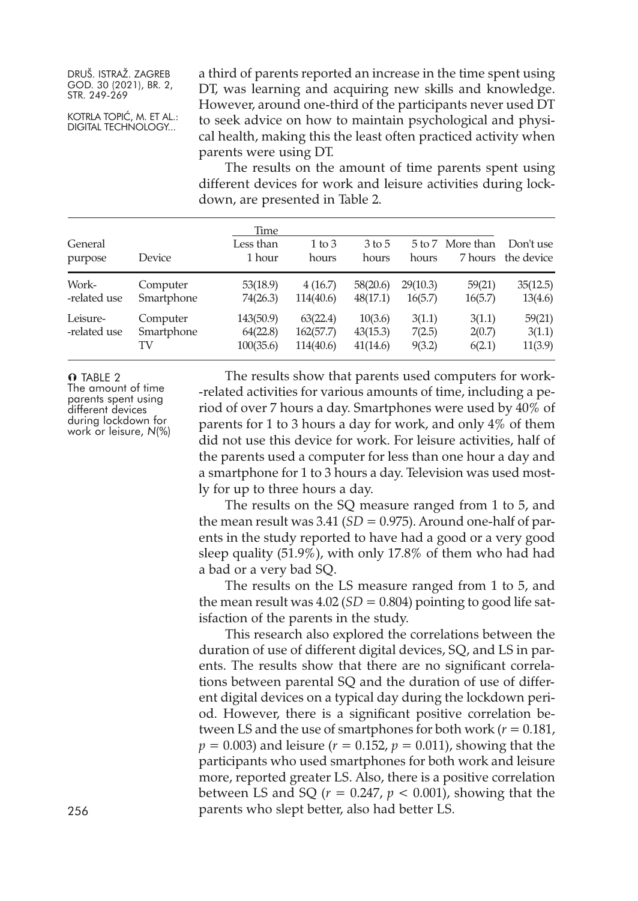KOTRLA TOPIĆ, M. ET AL.: DIGITAL TECHNOLOGY...

a third of parents reported an increase in the time spent using DT, was learning and acquiring new skills and knowledge. However, around one-third of the participants never used DT to seek advice on how to maintain psychological and physical health, making this the least often practiced activity when parents were using DT.

The results on the amount of time parents spent using different devices for work and leisure activities during lockdown, are presented in Table 2.

| General<br>purpose       | Device                       | Time<br>Less than<br>1 hour        | $1$ to $3$<br>hours                | 3 to 5<br>hours                 | 5 to 7<br>hours            | More than<br>7 hours       | Don't use<br>the device     |
|--------------------------|------------------------------|------------------------------------|------------------------------------|---------------------------------|----------------------------|----------------------------|-----------------------------|
| Work-<br>-related use    | Computer<br>Smartphone       | 53(18.9)<br>74(26.3)               | 4(16.7)<br>114(40.6)               | 58(20.6)<br>48(17.1)            | 29(10.3)<br>16(5.7)        | 59(21)<br>16(5.7)          | 35(12.5)<br>13(4.6)         |
| Leisure-<br>-related use | Computer<br>Smartphone<br>TV | 143(50.9)<br>64(22.8)<br>100(35.6) | 63(22.4)<br>162(57.7)<br>114(40.6) | 10(3.6)<br>43(15.3)<br>41(14.6) | 3(1.1)<br>7(2.5)<br>9(3.2) | 3(1.1)<br>2(0.7)<br>6(2.1) | 59(21)<br>3(1.1)<br>11(3.9) |

O TABLE 2

The amount of time parents spent using different devices during lockdown for work or leisure, *<sup>N</sup>*(%)

The results show that parents used computers for work- -related activities for various amounts of time, including a period of over 7 hours a day. Smartphones were used by 40% of parents for 1 to 3 hours a day for work, and only 4% of them did not use this device for work. For leisure activities, half of the parents used a computer for less than one hour a day and a smartphone for 1 to 3 hours a day. Television was used mostly for up to three hours a day.

The results on the SQ measure ranged from 1 to 5, and the mean result was  $3.41$  (*SD* = 0.975). Around one-half of parents in the study reported to have had a good or a very good sleep quality (51.9%), with only 17.8% of them who had had a bad or a very bad SQ.

The results on the LS measure ranged from 1 to 5, and the mean result was  $4.02(SD = 0.804)$  pointing to good life satisfaction of the parents in the study.

This research also explored the correlations between the duration of use of different digital devices, SQ, and LS in parents. The results show that there are no significant correlations between parental SQ and the duration of use of different digital devices on a typical day during the lockdown period. However, there is a significant positive correlation between LS and the use of smartphones for both work ( $r = 0.181$ ,  $p = 0.003$ ) and leisure ( $r = 0.152$ ,  $p = 0.011$ ), showing that the participants who used smartphones for both work and leisure more, reported greater LS. Also, there is a positive correlation between LS and SQ  $(r = 0.247, p < 0.001)$ , showing that the 256 parents who slept better, also had better LS.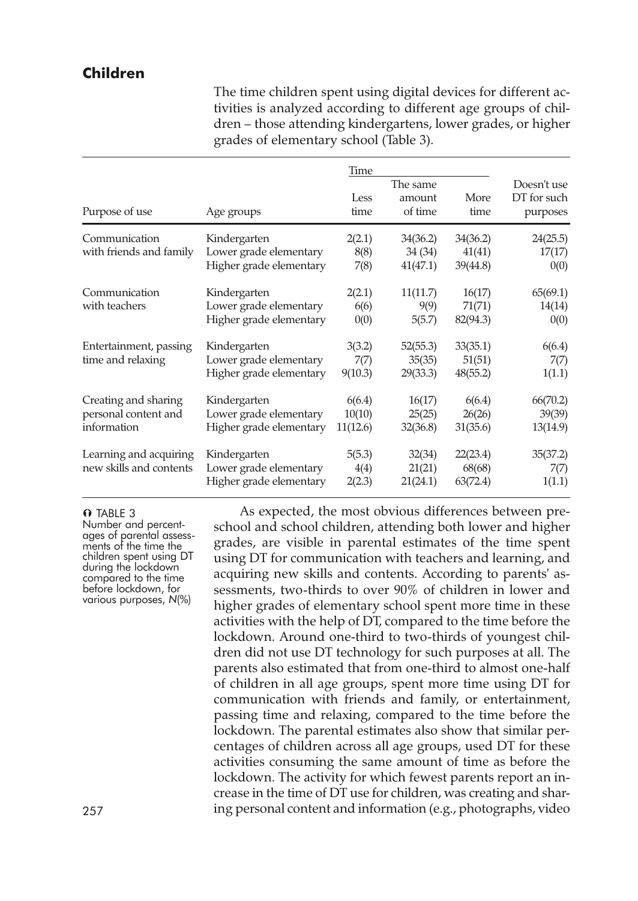# **Children**

The time children spent using digital devices for different activities is analyzed according to different age groups of children – those attending kindergartens, lower grades, or higher grades of elementary school (Table 3).

| Purpose of use                                              | Age groups                                                        | Time<br>Less<br>time         | The same<br>amount<br>of time   | More<br>time                   | Doesn't use<br>DT for such<br>purposes |
|-------------------------------------------------------------|-------------------------------------------------------------------|------------------------------|---------------------------------|--------------------------------|----------------------------------------|
| Communication<br>with friends and family                    | Kindergarten<br>Lower grade elementary<br>Higher grade elementary | 2(2.1)<br>8(8)<br>7(8)       | 34(36.2)<br>34 (34)<br>41(47.1) | 34(36.2)<br>41(41)<br>39(44.8) | 24(25.5)<br>17(17)<br>0(0)             |
| Communication<br>with teachers                              | Kindergarten<br>Lower grade elementary<br>Higher grade elementary | 2(2.1)<br>6(6)<br>0(0)       | 11(11.7)<br>9(9)<br>5(5.7)      | 16(17)<br>71(71)<br>82(94.3)   | 65(69.1)<br>14(14)<br>0(0)             |
| Entertainment, passing<br>time and relaxing                 | Kindergarten<br>Lower grade elementary<br>Higher grade elementary | 3(3.2)<br>7(7)<br>9(10.3)    | 52(55.3)<br>35(35)<br>29(33.3)  | 33(35.1)<br>51(51)<br>48(55.2) | 6(6.4)<br>7(7)<br>1(1.1)               |
| Creating and sharing<br>personal content and<br>information | Kindergarten<br>Lower grade elementary<br>Higher grade elementary | 6(6.4)<br>10(10)<br>11(12.6) | 16(17)<br>25(25)<br>32(36.8)    | 6(6.4)<br>26(26)<br>31(35.6)   | 66(70.2)<br>39(39)<br>13(14.9)         |
| Learning and acquiring<br>new skills and contents           | Kindergarten<br>Lower grade elementary<br>Higher grade elementary | 5(5.3)<br>4(4)<br>2(2.3)     | 32(34)<br>21(21)<br>21(24.1)    | 22(23.4)<br>68(68)<br>63(72.4) | 35(37.2)<br>7(7)<br>1(1.1)             |

O TABLE 3

Number and percent-<br>ages of parental assess-<br>ments of the time the<br>children spent using DT<br>during the lockdown compared to the time<br>before lockdown, for<br>various purposes, *N*(%)

As expected, the most obvious differences between preschool and school children, attending both lower and higher grades, are visible in parental estimates of the time spent using DT for communication with teachers and learning, and acquiring new skills and contents. According to parents' assessments, two-thirds to over 90% of children in lower and higher grades of elementary school spent more time in these activities with the help of DT, compared to the time before the lockdown. Around one-third to two-thirds of youngest children did not use DT technology for such purposes at all. The parents also estimated that from one-third to almost one-half of children in all age groups, spent more time using DT for communication with friends and family, or entertainment, passing time and relaxing, compared to the time before the lockdown. The parental estimates also show that similar percentages of children across all age groups, used DT for these activities consuming the same amount of time as before the lockdown. The activity for which fewest parents report an increase in the time of DT use for children, was creating and shar-257 ing personal content and information (e.g., photographs, video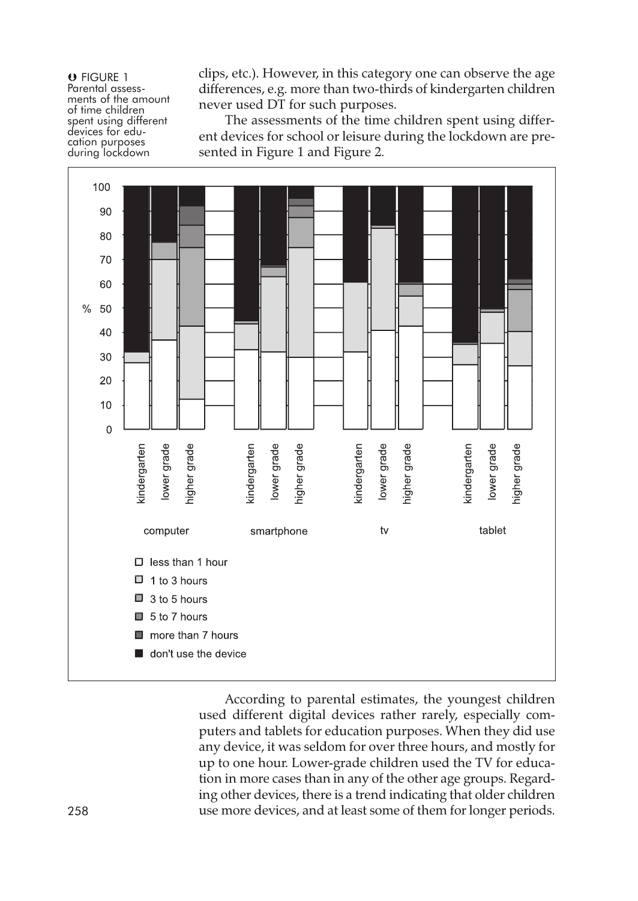**O** FIGURE 1<br>Parental assessments of the amount<br>of time children<br>spent using different<br>devices for education purposes<br>during lockdown

clips, etc.). However, in this category one can observe the age differences, e.g. more than two-thirds of kindergarten children never used DT for such purposes.

The assessments of the time children spent using different devices for school or leisure during the lockdown are presented in Figure 1 and Figure 2.



According to parental estimates, the youngest children used different digital devices rather rarely, especially computers and tablets for education purposes. When they did use any device, it was seldom for over three hours, and mostly for up to one hour. Lower-grade children used the TV for education in more cases than in any of the other age groups. Regarding other devices, there is a trend indicating that older children 258 use more devices, and at least some of them for longer periods.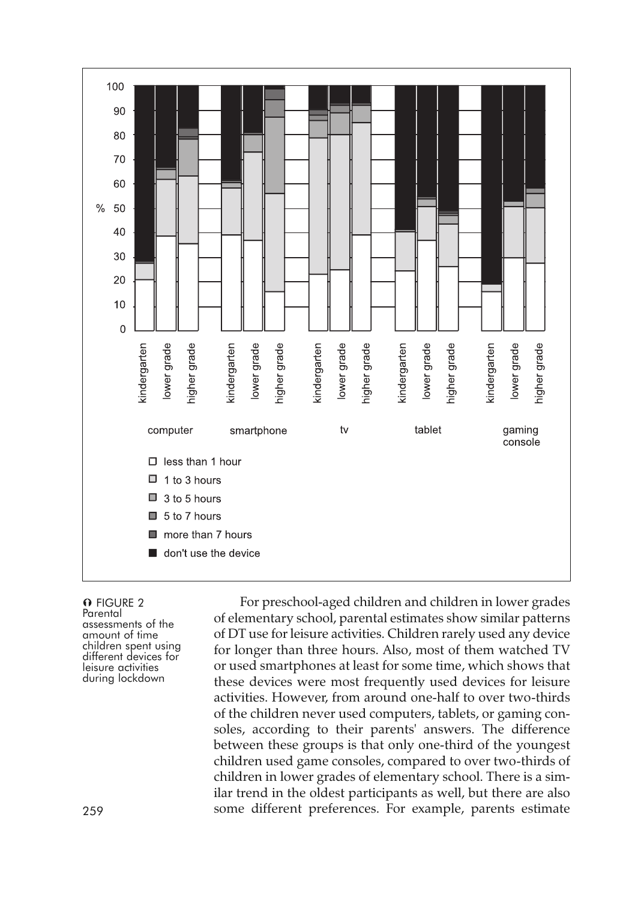

# O FIGURE 2 Parental<br>assessments of the<br>amount of time<br>different devices for<br>different devices<br>during lockdown<br>during lockdown

For preschool-aged children and children in lower grades of elementary school, parental estimates show similar patterns of DT use for leisure activities. Children rarely used any device for longer than three hours. Also, most of them watched TV or used smartphones at least for some time, which shows that these devices were most frequently used devices for leisure activities. However, from around one-half to over two-thirds of the children never used computers, tablets, or gaming consoles, according to their parents' answers. The difference between these groups is that only one-third of the youngest children used game consoles, compared to over two-thirds of children in lower grades of elementary school. There is a similar trend in the oldest participants as well, but there are also 259 some different preferences. For example, parents estimate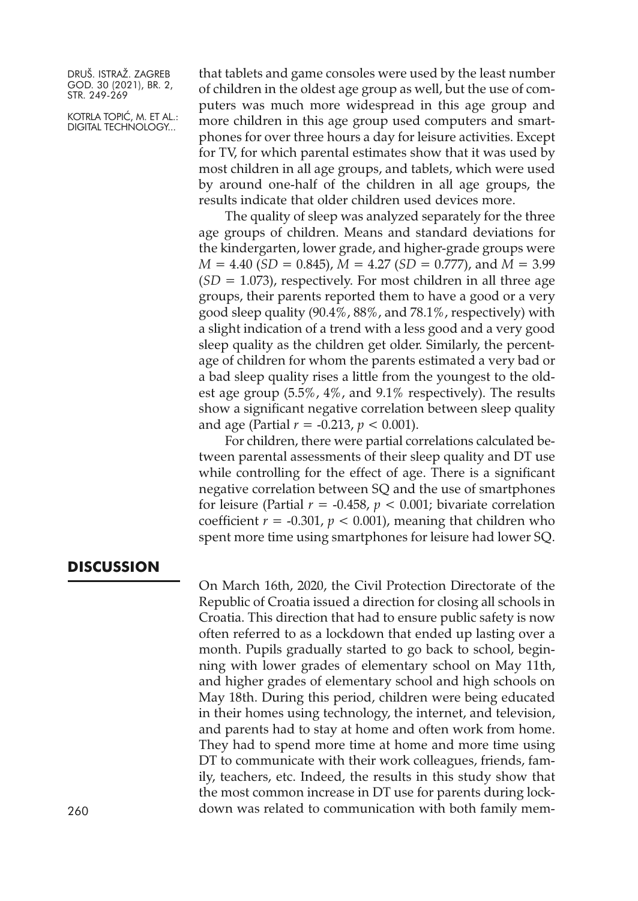KOTRLA TOPIĆ, M. ET AL.: DIGITAL TECHNOLOGY...

that tablets and game consoles were used by the least number of children in the oldest age group as well, but the use of computers was much more widespread in this age group and more children in this age group used computers and smartphones for over three hours a day for leisure activities. Except for TV, for which parental estimates show that it was used by most children in all age groups, and tablets, which were used by around one-half of the children in all age groups, the results indicate that older children used devices more.

The quality of sleep was analyzed separately for the three age groups of children. Means and standard deviations for the kindergarten, lower grade, and higher-grade groups were *M* = 4.40 (*SD* = 0.845), *M* = 4.27 (*SD* = 0.777), and *M* = 3.99 (*SD* = 1.073), respectively. For most children in all three age groups, their parents reported them to have a good or a very good sleep quality (90.4%, 88%, and 78.1%, respectively) with a slight indication of a trend with a less good and a very good sleep quality as the children get older. Similarly, the percentage of children for whom the parents estimated a very bad or a bad sleep quality rises a little from the youngest to the oldest age group (5.5%, 4%, and 9.1% respectively). The results show a significant negative correlation between sleep quality and age (Partial  $r = -0.213$ ,  $p < 0.001$ ).

For children, there were partial correlations calculated between parental assessments of their sleep quality and DT use while controlling for the effect of age. There is a significant negative correlation between SQ and the use of smartphones for leisure (Partial  $r = -0.458$ ,  $p < 0.001$ ; bivariate correlation coefficient  $r = -0.301$ ,  $p < 0.001$ ), meaning that children who spent more time using smartphones for leisure had lower SQ.

## **DISCUSSION**

On March 16th, 2020, the Civil Protection Directorate of the Republic of Croatia issued a direction for closing all schools in Croatia. This direction that had to ensure public safety is now often referred to as a lockdown that ended up lasting over a month. Pupils gradually started to go back to school, beginning with lower grades of elementary school on May 11th, and higher grades of elementary school and high schools on May 18th. During this period, children were being educated in their homes using technology, the internet, and television, and parents had to stay at home and often work from home. They had to spend more time at home and more time using DT to communicate with their work colleagues, friends, family, teachers, etc. Indeed, the results in this study show that the most common increase in DT use for parents during lock-260 down was related to communication with both family mem-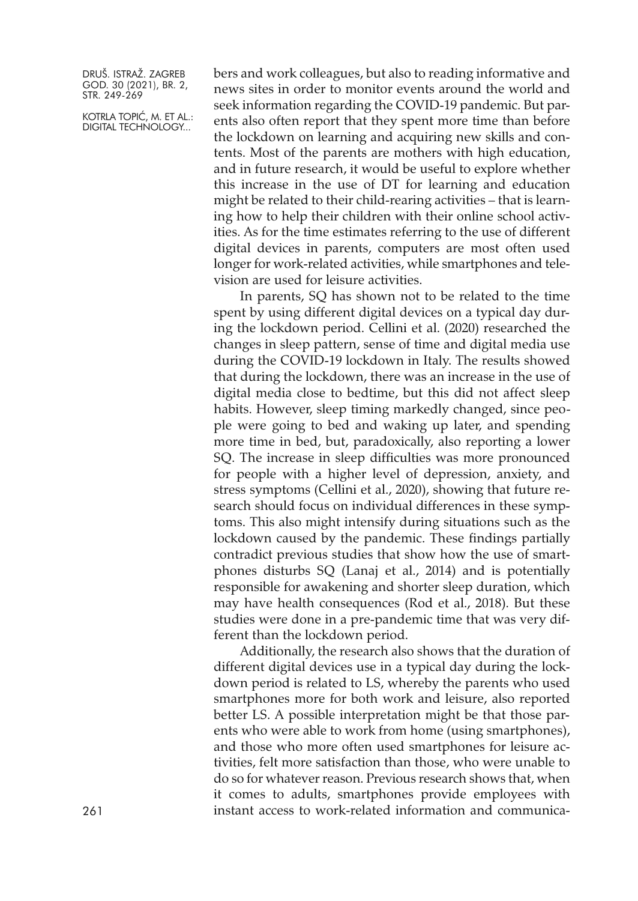KOTRLA TOPIĆ, M. ET AL.: DIGITAL TECHNOLOGY...

bers and work colleagues, but also to reading informative and news sites in order to monitor events around the world and seek information regarding the COVID-19 pandemic. But parents also often report that they spent more time than before the lockdown on learning and acquiring new skills and contents. Most of the parents are mothers with high education, and in future research, it would be useful to explore whether this increase in the use of DT for learning and education might be related to their child-rearing activities – that is learning how to help their children with their online school activities. As for the time estimates referring to the use of different digital devices in parents, computers are most often used longer for work-related activities, while smartphones and television are used for leisure activities.

In parents, SQ has shown not to be related to the time spent by using different digital devices on a typical day during the lockdown period. Cellini et al. (2020) researched the changes in sleep pattern, sense of time and digital media use during the COVID-19 lockdown in Italy. The results showed that during the lockdown, there was an increase in the use of digital media close to bedtime, but this did not affect sleep habits. However, sleep timing markedly changed, since people were going to bed and waking up later, and spending more time in bed, but, paradoxically, also reporting a lower SQ. The increase in sleep difficulties was more pronounced for people with a higher level of depression, anxiety, and stress symptoms (Cellini et al., 2020), showing that future research should focus on individual differences in these symptoms. This also might intensify during situations such as the lockdown caused by the pandemic. These findings partially contradict previous studies that show how the use of smartphones disturbs SQ (Lanaj et al., 2014) and is potentially responsible for awakening and shorter sleep duration, which may have health consequences (Rod et al., 2018). But these studies were done in a pre-pandemic time that was very different than the lockdown period.

Additionally, the research also shows that the duration of different digital devices use in a typical day during the lockdown period is related to LS, whereby the parents who used smartphones more for both work and leisure, also reported better LS. A possible interpretation might be that those parents who were able to work from home (using smartphones), and those who more often used smartphones for leisure activities, felt more satisfaction than those, who were unable to do so for whatever reason. Previous research shows that, when it comes to adults, smartphones provide employees with instant access to work-related information and communica-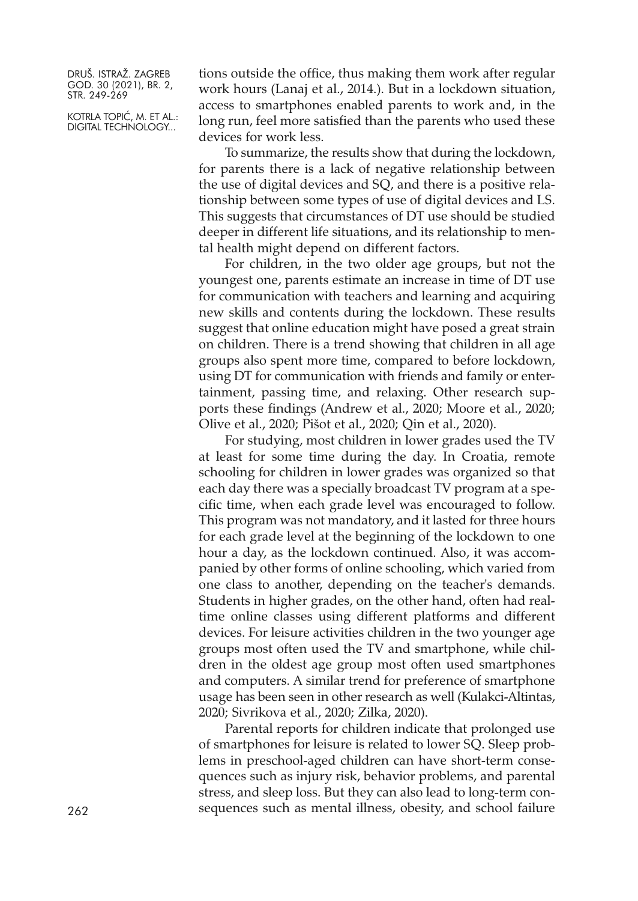KOTRLA TOPIĆ, M. ET AL.: DIGITAL TECHNOLOGY...

tions outside the office, thus making them work after regular work hours (Lanaj et al., 2014.). But in a lockdown situation, access to smartphones enabled parents to work and, in the long run, feel more satisfied than the parents who used these devices for work less.

To summarize, the results show that during the lockdown, for parents there is a lack of negative relationship between the use of digital devices and SQ, and there is a positive relationship between some types of use of digital devices and LS. This suggests that circumstances of DT use should be studied deeper in different life situations, and its relationship to mental health might depend on different factors.

For children, in the two older age groups, but not the youngest one, parents estimate an increase in time of DT use for communication with teachers and learning and acquiring new skills and contents during the lockdown. These results suggest that online education might have posed a great strain on children. There is a trend showing that children in all age groups also spent more time, compared to before lockdown, using DT for communication with friends and family or entertainment, passing time, and relaxing. Other research supports these findings (Andrew et al., 2020; Moore et al., 2020; Olive et al., 2020; Pišot et al., 2020; Qin et al., 2020).

For studying, most children in lower grades used the TV at least for some time during the day. In Croatia, remote schooling for children in lower grades was organized so that each day there was a specially broadcast TV program at a specific time, when each grade level was encouraged to follow. This program was not mandatory, and it lasted for three hours for each grade level at the beginning of the lockdown to one hour a day, as the lockdown continued. Also, it was accompanied by other forms of online schooling, which varied from one class to another, depending on the teacher's demands. Students in higher grades, on the other hand, often had realtime online classes using different platforms and different devices. For leisure activities children in the two younger age groups most often used the TV and smartphone, while children in the oldest age group most often used smartphones and computers. A similar trend for preference of smartphone usage has been seen in other research as well (Kulakci-Altintas, 2020; Sivrikova et al., 2020; Zilka, 2020).

Parental reports for children indicate that prolonged use of smartphones for leisure is related to lower SQ. Sleep problems in preschool-aged children can have short-term consequences such as injury risk, behavior problems, and parental stress, and sleep loss. But they can also lead to long-term con-262 sequences such as mental illness, obesity, and school failure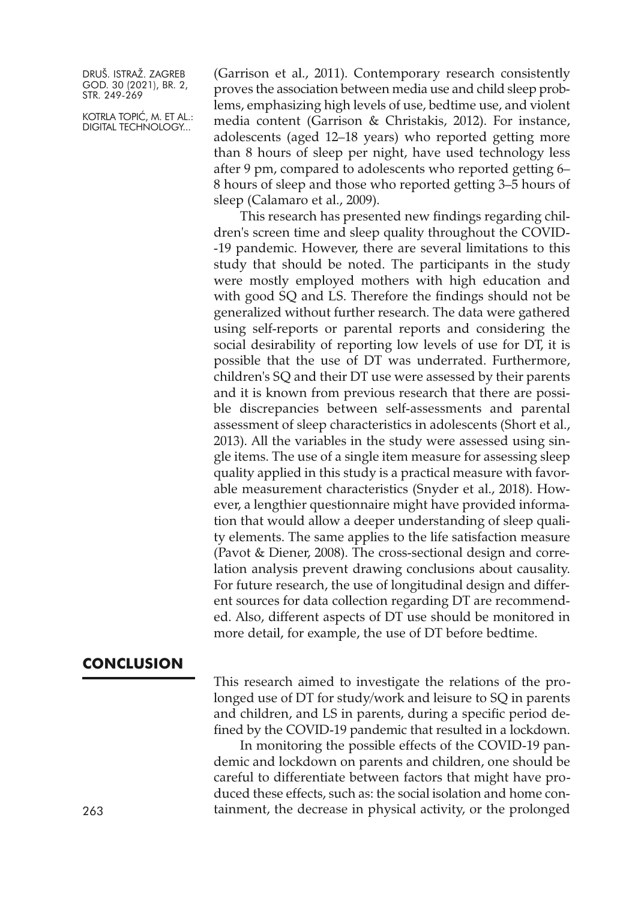KOTRLA TOPIĆ, M. ET AL.: DIGITAL TECHNOLOGY...

(Garrison et al., 2011). Contemporary research consistently proves the association between media use and child sleep problems, emphasizing high levels of use, bedtime use, and violent media content (Garrison & Christakis, 2012). For instance, adolescents (aged 12–18 years) who reported getting more than 8 hours of sleep per night, have used technology less after 9 pm, compared to adolescents who reported getting 6– 8 hours of sleep and those who reported getting 3–5 hours of sleep (Calamaro et al., 2009).

This research has presented new findings regarding children's screen time and sleep quality throughout the COVID- -19 pandemic. However, there are several limitations to this study that should be noted. The participants in the study were mostly employed mothers with high education and with good SQ and LS. Therefore the findings should not be generalized without further research. The data were gathered using self-reports or parental reports and considering the social desirability of reporting low levels of use for DT, it is possible that the use of DT was underrated. Furthermore, children's SQ and their DT use were assessed by their parents and it is known from previous research that there are possible discrepancies between self-assessments and parental assessment of sleep characteristics in adolescents (Short et al., 2013). All the variables in the study were assessed using single items. The use of a single item measure for assessing sleep quality applied in this study is a practical measure with favorable measurement characteristics (Snyder et al., 2018). However, a lengthier questionnaire might have provided information that would allow a deeper understanding of sleep quality elements. The same applies to the life satisfaction measure (Pavot & Diener, 2008). The cross-sectional design and correlation analysis prevent drawing conclusions about causality. For future research, the use of longitudinal design and different sources for data collection regarding DT are recommended. Also, different aspects of DT use should be monitored in more detail, for example, the use of DT before bedtime.

# **CONCLUSION**

This research aimed to investigate the relations of the prolonged use of DT for study/work and leisure to SQ in parents and children, and LS in parents, during a specific period defined by the COVID-19 pandemic that resulted in a lockdown.

In monitoring the possible effects of the COVID-19 pandemic and lockdown on parents and children, one should be careful to differentiate between factors that might have produced these effects, such as: the social isolation and home containment, the decrease in physical activity, or the prolonged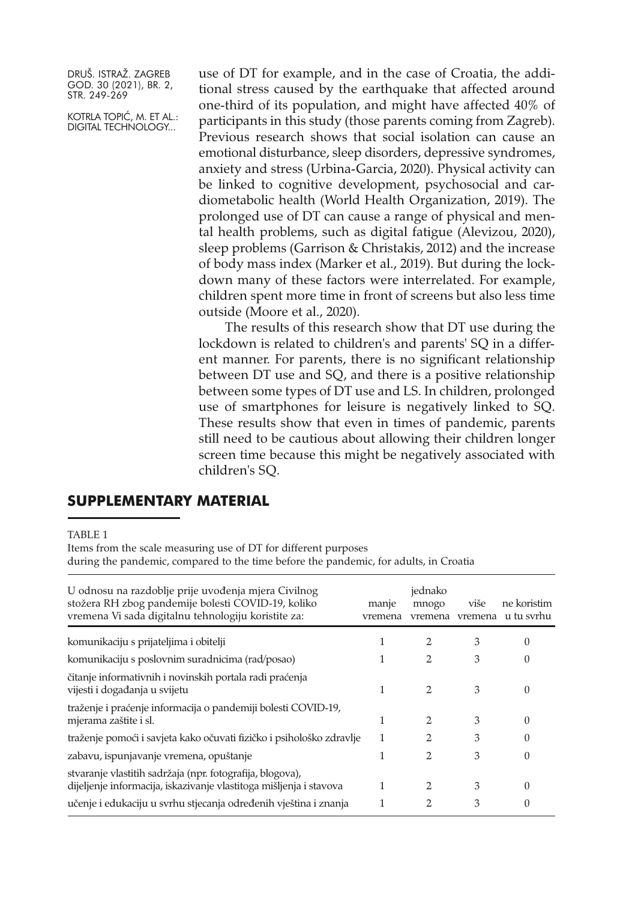KOTRLA TOPIĆ, M. ET AL.: DIGITAL TECHNOLOGY...

use of DT for example, and in the case of Croatia, the additional stress caused by the earthquake that affected around one-third of its population, and might have affected 40% of participants in this study (those parents coming from Zagreb). Previous research shows that social isolation can cause an emotional disturbance, sleep disorders, depressive syndromes, anxiety and stress (Urbina-Garcia, 2020). Physical activity can be linked to cognitive development, psychosocial and cardiometabolic health (World Health Organization, 2019). The prolonged use of DT can cause a range of physical and mental health problems, such as digital fatigue (Alevizou, 2020), sleep problems (Garrison & Christakis, 2012) and the increase of body mass index (Marker et al., 2019). But during the lockdown many of these factors were interrelated. For example, children spent more time in front of screens but also less time outside (Moore et al., 2020).

The results of this research show that DT use during the lockdown is related to children's and parents' SQ in a different manner. For parents, there is no significant relationship between DT use and SQ, and there is a positive relationship between some types of DT use and LS. In children, prolonged use of smartphones for leisure is negatively linked to SQ. These results show that even in times of pandemic, parents still need to be cautious about allowing their children longer screen time because this might be negatively associated with children's SQ.

# **SUPPLEMENTARY MATERIAL**

#### TABLE 1

Items from the scale measuring use of DT for different purposes

during the pandemic, compared to the time before the pandemic, for adults, in Croatia

| U odnosu na razdoblje prije uvođenja mjera Civilnog<br>stožera RH zbog pandemije bolesti COVID-19, koliko<br>vremena Vi sada digitalnu tehnologiju koristite za:                                    | manje<br>vremena | jednako<br>mnogo<br>vremena | više   | ne koristim<br>vremena u tu svrhu |
|-----------------------------------------------------------------------------------------------------------------------------------------------------------------------------------------------------|------------------|-----------------------------|--------|-----------------------------------|
| komunikaciju s prijateljima i obitelji                                                                                                                                                              |                  |                             | 3      | 0                                 |
| komunikaciju s poslovnim suradnicima (rad/posao)                                                                                                                                                    |                  | 2                           | 3      | 0                                 |
| čitanje informativnih i novinskih portala radi praćenja<br>vijesti i događanja u svijetu                                                                                                            | 1                | 2                           | 3      | $\Omega$                          |
| traženje i praćenje informacija o pandemiji bolesti COVID-19,<br>mjerama zaštite i sl.                                                                                                              | 1                | 2                           | 3      | $\Omega$                          |
| traženje pomoći i savjeta kako očuvati fizičko i psihološko zdravlje                                                                                                                                | 1                | 2                           | 3      | 0                                 |
| zabavu, ispunjavanje vremena, opuštanje                                                                                                                                                             | 1                | 2                           | 3      | 0                                 |
| stvaranje vlastitih sadržaja (npr. fotografija, blogova),<br>dijeljenje informacija, iskazivanje vlastitoga mišljenja i stavova<br>učenje i edukaciju u svrhu stjecanja određenih vještina i znanja | 1                | 2<br>2                      | 3<br>3 | 0<br>0                            |
|                                                                                                                                                                                                     |                  |                             |        |                                   |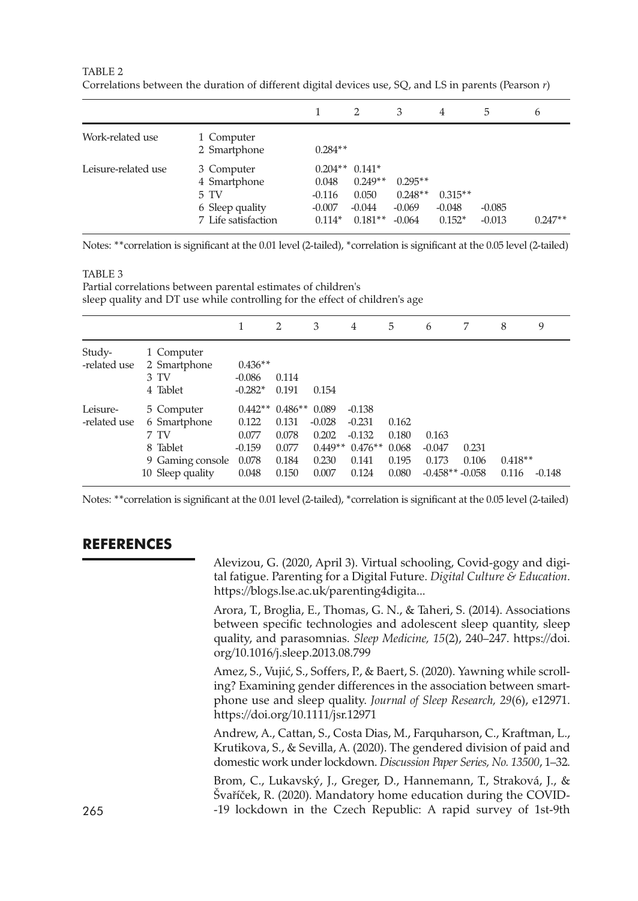|                     |                                                                              |                                           | 2                                                              | 3                                              | 4                                 | 5                    | 6         |
|---------------------|------------------------------------------------------------------------------|-------------------------------------------|----------------------------------------------------------------|------------------------------------------------|-----------------------------------|----------------------|-----------|
| Work-related use    | 1 Computer<br>2 Smartphone                                                   | $0.284**$                                 |                                                                |                                                |                                   |                      |           |
| Leisure-related use | 3 Computer<br>4 Smartphone<br>5 TV<br>6 Sleep quality<br>7 Life satisfaction | 0.048<br>$-0.116$<br>$-0.007$<br>$0.114*$ | $0.204**0.141*$<br>$0.249**$<br>0.050<br>$-0.044$<br>$0.181**$ | $0.295**$<br>$0.248**$<br>$-0.069$<br>$-0.064$ | $0.315**$<br>$-0.048$<br>$0.152*$ | $-0.085$<br>$-0.013$ | $0.247**$ |

TABLE 2 Correlations between the duration of different digital devices use, SQ, and LS in parents (Pearson *r*)

Notes: \*\*correlation is significant at the 0.01 level (2-tailed), \*correlation is significant at the 0.05 level (2-tailed)

#### TABLE 3

Partial correlations between parental estimates of children's sleep quality and DT use while controlling for the effect of children's age

|                          |                                                                                        |                                                                  | 2                                         | 3                                                         | 4                                                               | 5                                         | 6                                              |                | 8                  | 9        |
|--------------------------|----------------------------------------------------------------------------------------|------------------------------------------------------------------|-------------------------------------------|-----------------------------------------------------------|-----------------------------------------------------------------|-------------------------------------------|------------------------------------------------|----------------|--------------------|----------|
| Study-<br>-related use   | 1 Computer<br>2 Smartphone<br>3 TV<br>4 Tablet                                         | $0.436**$<br>$-0.086$<br>$-0.282*$                               | 0.114<br>0.191                            | 0.154                                                     |                                                                 |                                           |                                                |                |                    |          |
| Leisure-<br>-related use | 5 Computer<br>6 Smartphone<br>7 TV<br>8 Tablet<br>9 Gaming console<br>10 Sleep quality | $0.442**0.486**$<br>0.122<br>0.077<br>$-0.159$<br>0.078<br>0.048 | 0.131<br>0.078<br>0.077<br>0.184<br>0.150 | 0.089<br>$-0.028$<br>0.202<br>$0.449**$<br>0.230<br>0.007 | $-0.138$<br>$-0.231$<br>$-0.132$<br>$0.476**$<br>0.141<br>0.124 | 0.162<br>0.180<br>0.068<br>0.195<br>0.080 | 0.163<br>$-0.047$<br>0.173<br>$-0.458**-0.058$ | 0.231<br>0.106 | $0.418**$<br>0.116 | $-0.148$ |

Notes: \*\*correlation is significant at the 0.01 level (2-tailed), \*correlation is significant at the 0.05 level (2-tailed)

# **REFERENCES**

Alevizou, G. (2020, April 3). Virtual schooling, Covid-gogy and digital fatigue. Parenting for a Digital Future. *Digital Culture & Education*. <https://blogs.lse.ac.uk/parenting4digita...>

Arora, T., Broglia, E., Thomas, G. N., & Taheri, S. (2014). Associations between specific technologies and adolescent sleep quantity, sleep quality, and parasomnias. *Sleep Medicine, 15*(2), 240–247. [https://doi.](https://doi.org/10.1016/j.sleep.2013.08.799) [org/10.1016/j.sleep.2013.08.799](https://doi.org/10.1016/j.sleep.2013.08.799)

Amez, S., Vujić, S., Soffers, P., & Baert, S. (2020). Yawning while scrolling? Examining gender differences in the association between smartphone use and sleep quality. *Journal of Sleep Research, 29*(6), e12971. <https://doi.org/10.1111/jsr.12971>

Andrew, A., Cattan, S., Costa Dias, M., Farquharson, C., Kraftman, L., Krutikova, S., & Sevilla, A. (2020). The gendered division of paid and domestic work under lockdown. *Discussion Paper Series, No. 13500*, 1–32.

Brom, C., Lukavský, J., Greger, D., Hannemann, T., Straková, J., & Švaříček, R. (2020). Mandatory home education during the COVID-265 -19 lockdown in the Czech Republic: A rapid survey of 1st-9th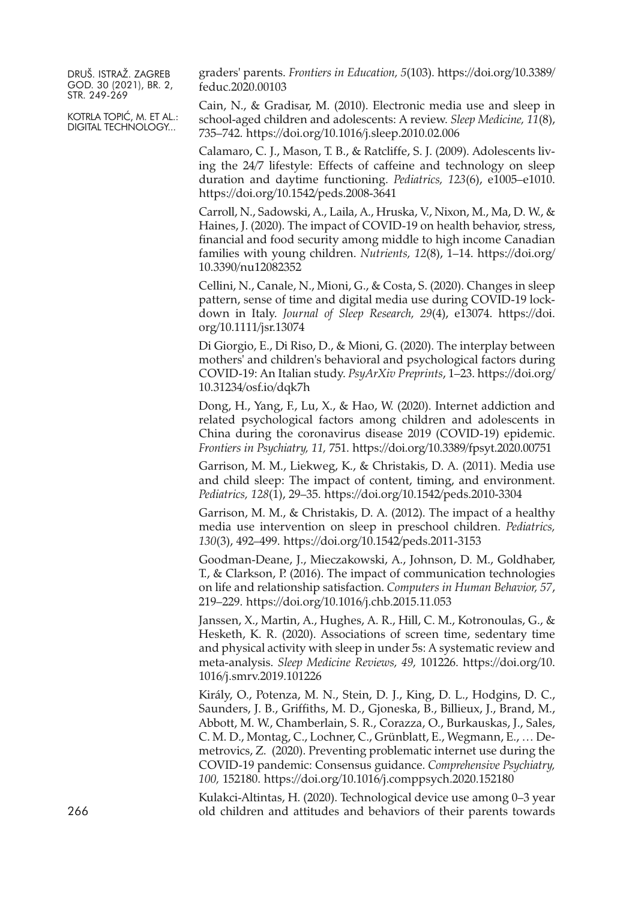KOTRLA TOPIĆ, M. ET AL.: DIGITAL TECHNOLOGY...

graders' parents. *Frontiers in Education, 5*(103). [https://doi.org/10.3389/](https://doi.org/10.3389/feduc.2020.00103) [feduc.2020.00103](https://doi.org/10.3389/feduc.2020.00103)

Cain, N., & Gradisar, M. (2010). Electronic media use and sleep in school-aged children and adolescents: A review. *Sleep Medicine, 11*(8), 735–742. <https://doi.org/10.1016/j.sleep.2010.02.006>

Calamaro, C. J., Mason, T. B., & Ratcliffe, S. J. (2009). Adolescents living the 24/7 lifestyle: Effects of caffeine and technology on sleep duration and daytime functioning. *Pediatrics, 123*(6), e1005–e1010. <https://doi.org/10.1542/peds.2008-3641>

Carroll, N., Sadowski, A., Laila, A., Hruska, V., Nixon, M., Ma, D. W., & Haines, J. (2020). The impact of COVID-19 on health behavior, stress, financial and food security among middle to high income Canadian families with young children. *Nutrients, 12*(8), 1–14. [https://doi.org/](https://doi.org/10.3390/nu12082352) [10.3390/nu12082352](https://doi.org/10.3390/nu12082352)

Cellini, N., Canale, N., Mioni, G., & Costa, S. (2020). Changes in sleep pattern, sense of time and digital media use during COVID-19 lockdown in Italy. *Journal of Sleep Research, 29*(4), e13074. [https://doi.](https://doi.org/10.1111/jsr.13074) [org/10.1111/jsr.13074](https://doi.org/10.1111/jsr.13074)

Di Giorgio, E., Di Riso, D., & Mioni, G. (2020). The interplay between mothers' and children's behavioral and psychological factors during COVID-19: An Italian study. *PsyArXiv Preprints*, 1–23. [https://doi.org/](https://doi.org/10.31234/osf.io/dqk7h) [10.31234/osf.io/dqk7h](https://doi.org/10.31234/osf.io/dqk7h)

Dong, H., Yang, F., Lu, X., & Hao, W. (2020). Internet addiction and related psychological factors among children and adolescents in China during the coronavirus disease 2019 (COVID-19) epidemic. *Frontiers in Psychiatry, 11,* 751. <https://doi.org/10.3389/fpsyt.2020.00751>

Garrison, M. M., Liekweg, K., & Christakis, D. A. (2011). Media use and child sleep: The impact of content, timing, and environment. *Pediatrics, 128*(1), 29–35. <https://doi.org/10.1542/peds.2010-3304>

Garrison, M. M., & Christakis, D. A. (2012). The impact of a healthy media use intervention on sleep in preschool children. *Pediatrics, 130*(3), 492–499. <https://doi.org/10.1542/peds.2011-3153>

Goodman-Deane, J., Mieczakowski, A., Johnson, D. M., Goldhaber, T., & Clarkson, P. (2016). The impact of communication technologies on life and relationship satisfaction. *Computers in Human Behavior, 57*, 219–229. <https://doi.org/10.1016/j.chb.2015.11.053>

Janssen, X., Martin, A., Hughes, A. R., Hill, C. M., Kotronoulas, G., & Hesketh, K. R. (2020). Associations of screen time, sedentary time and physical activity with sleep in under 5s: A systematic review and meta-analysis. *Sleep Medicine Reviews, 49,* 101226. [https://doi.org/10.](https://doi.org/10.1016/j.smrv.2019.101226) [1016/j.smrv.2019.101226](https://doi.org/10.1016/j.smrv.2019.101226)

Király, O., Potenza, M. N., Stein, D. J., King, D. L., Hodgins, D. C., Saunders, J. B., Griffiths, M. D., Gjoneska, B., Billieux, J., Brand, M., Abbott, M. W., Chamberlain, S. R., Corazza, O., Burkauskas, J., Sales, C. M. D., Montag, C., Lochner, C., Grünblatt, E., Wegmann, E., … Demetrovics, Z. (2020). Preventing problematic internet use during the COVID-19 pandemic: Consensus guidance. *Comprehensive Psychiatry, 100,* 152180. <https://doi.org/10.1016/j.comppsych.2020.152180>

Kulakci-Altintas, H. (2020). Technological device use among 0–3 year 266 old children and attitudes and behaviors of their parents towards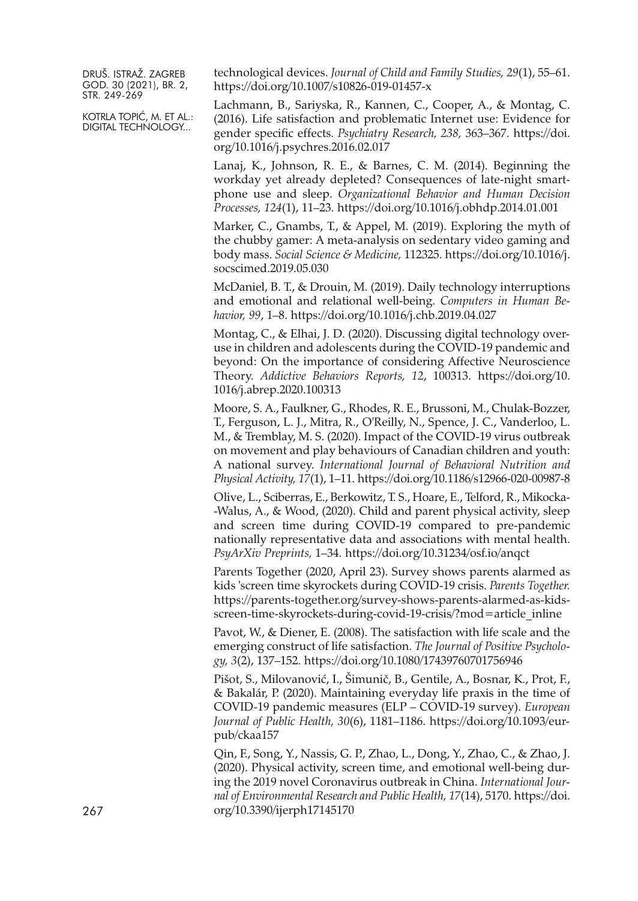KOTRLA TOPIĆ, M. ET AL.: DIGITAL TECHNOLOGY...

technological devices. *Journal of Child and Family Studies, 29*(1), 55–61. <https://doi.org/10.1007/s10826-019-01457-x>

Lachmann, B., Sariyska, R., Kannen, C., Cooper, A., & Montag, C. (2016). Life satisfaction and problematic Internet use: Evidence for gender specific effects. *Psychiatry Research, 238,* 363–367. [https://doi.](https://doi.org/10.1016/j.psychres.2016.02.017) [org/10.1016/j.psychres.2016.02.017](https://doi.org/10.1016/j.psychres.2016.02.017)

Lanaj, K., Johnson, R. E., & Barnes, C. M. (2014). Beginning the workday yet already depleted? Consequences of late-night smartphone use and sleep. *Organizational Behavior and Human Decision Processes, 124*(1), 11–23. <https://doi.org/10.1016/j.obhdp.2014.01.001>

Marker, C., Gnambs, T., & Appel, M. (2019). Exploring the myth of the chubby gamer: A meta-analysis on sedentary video gaming and body mass. *Social Science & Medicine,* 112325. [https://doi.org/10.1016/j.](https://doi.org/10.1016/j.socscimed.2019.05.030) [socscimed.2019.05.030](https://doi.org/10.1016/j.socscimed.2019.05.030)

McDaniel, B. T., & Drouin, M. (2019). Daily technology interruptions and emotional and relational well-being. *Computers in Human Behavior, 99*, 1–8. <https://doi.org/10.1016/j.chb.2019.04.027>

Montag, C., & Elhai, J. D. (2020). Discussing digital technology overuse in children and adolescents during the COVID-19 pandemic and beyond: On the importance of considering Affective Neuroscience Theory. *Addictive Behaviors Reports, 12*, 100313. [https://doi.org/10.](https://doi.org/10.1016/j.abrep.2020.100313) [1016/j.abrep.2020.100313](https://doi.org/10.1016/j.abrep.2020.100313)

Moore, S. A., Faulkner, G., Rhodes, R. E., Brussoni, M., Chulak-Bozzer, T., Ferguson, L. J., Mitra, R., O'Reilly, N., Spence, J. C., Vanderloo, L. M., & Tremblay, M. S. (2020). Impact of the COVID-19 virus outbreak on movement and play behaviours of Canadian children and youth: A national survey. *International Journal of Behavioral Nutrition and Physical Activity, 17*(1), 1–11. <https://doi.org/10.1186/s12966-020-00987-8>

Olive, L., Sciberras, E., Berkowitz, T. S., Hoare, E., Telford, R., Mikocka- -Walus, A., & Wood, (2020). Child and parent physical activity, sleep and screen time during COVID-19 compared to pre-pandemic nationally representative data and associations with mental health. *PsyArXiv Preprints,* 1–34. <https://doi.org/10.31234/osf.io/anqct>

Parents Together (2020, April 23). Survey shows parents alarmed as kids 'screen time skyrockets during COVID-19 crisis. *Parents Together.* [https://parents-together.org/survey-shows-parents-alarmed-as-kids](https://parents-together.org/survey-shows-parents-alarmed-as-kids-screen-time-skyrockets-during-covid-19-crisis/?mod=article_inline)[screen-time-skyrockets-during-covid-19-crisis/?mod=article\\_inline](https://parents-together.org/survey-shows-parents-alarmed-as-kids-screen-time-skyrockets-during-covid-19-crisis/?mod=article_inline)

Pavot, W., & Diener, E. (2008). The satisfaction with life scale and the emerging construct of life satisfaction. *The Journal of Positive Psychology, 3*(2), 137–152. <https://doi.org/10.1080/17439760701756946>

Pišot, S., Milovanović, I., Šimunič, B., Gentile, A., Bosnar, K., Prot, F., & Bakalár, P. (2020). Maintaining everyday life praxis in the time of COVID-19 pandemic measures (ELP – COVID-19 survey). *European Journal of Public Health, 30*(6), 1181–1186. [https://doi.org/10.1093/eur](https://doi.org/10.1093/eurpub/ckaa157)[pub/ckaa157](https://doi.org/10.1093/eurpub/ckaa157)

Qin, F., Song, Y., Nassis, G. P., Zhao, L., Dong, Y., Zhao, C., & Zhao, J. (2020). Physical activity, screen time, and emotional well-being during the 2019 novel Coronavirus outbreak in China. *International Journal of Environmental Research and Public Health, 17*(14), 5170. [https://doi.](https://doi.org/10.3390/ijerph17145170) [org/10.3390/ijerph17145170](https://doi.org/10.3390/ijerph17145170)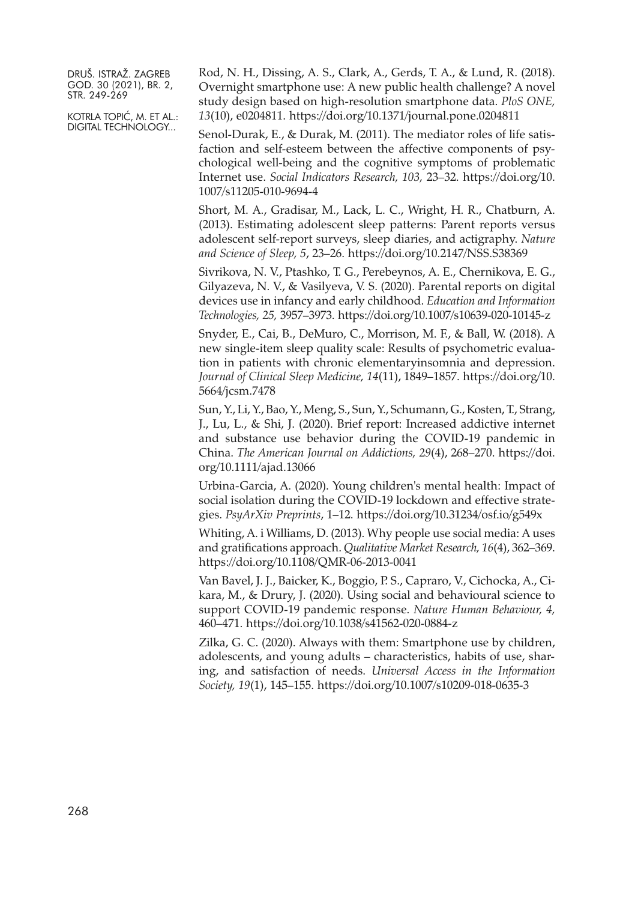KOTRLA TOPIĆ, M. ET AL.: DIGITAL TECHNOLOGY...

Rod, N. H., Dissing, A. S., Clark, A., Gerds, T. A., & Lund, R. (2018). Overnight smartphone use: A new public health challenge? A novel study design based on high-resolution smartphone data. *PloS ONE, 13*(10), e0204811. <https://doi.org/10.1371/journal.pone.0204811>

Senol-Durak, E., & Durak, M. (2011). The mediator roles of life satisfaction and self-esteem between the affective components of psychological well-being and the cognitive symptoms of problematic Internet use. *Social Indicators Research, 103,* 23–32. [https://doi.org/10.](https://doi.org/10.1007/s11205-010-9694-4) [1007/s11205-010-9694-4](https://doi.org/10.1007/s11205-010-9694-4)

Short, M. A., Gradisar, M., Lack, L. C., Wright, H. R., Chatburn, A. (2013). Estimating adolescent sleep patterns: Parent reports versus adolescent self-report surveys, sleep diaries, and actigraphy. *Nature and Science of Sleep, 5*, 23–26. <https://doi.org/10.2147/NSS.S38369>

Sivrikova, N. V., Ptashko, T. G., Perebeynos, A. E., Chernikova, E. G., Gilyazeva, N. V., & Vasilyeva, V. S. (2020). Parental reports on digital devices use in infancy and early childhood. *Education and Information Technologies, 25,* 3957–3973. <https://doi.org/10.1007/s10639-020-10145-z>

Snyder, E., Cai, B., DeMuro, C., Morrison, M. F., & Ball, W. (2018). A new single-item sleep quality scale: Results of psychometric evaluation in patients with chronic elementaryinsomnia and depression. *Journal of Clinical Sleep Medicine, 14*(11), 1849–1857. [https://doi.org/10.](https://doi.org/10.5664/jcsm.7478) [5664/jcsm.7478](https://doi.org/10.5664/jcsm.7478)

Sun, Y., Li, Y., Bao, Y., Meng, S., Sun, Y., Schumann, G., Kosten, T., Strang, J., Lu, L., & Shi, J. (2020). Brief report: Increased addictive internet and substance use behavior during the COVID-19 pandemic in China. *The American Journal on Addictions, 29*(4), 268–270. [https://doi.](https://doi.org/10.1111/ajad.13066) [org/10.1111/ajad.13066](https://doi.org/10.1111/ajad.13066)

Urbina-Garcia, A. (2020). Young children's mental health: Impact of social isolation during the COVID-19 lockdown and effective strategies. *PsyArXiv Preprints*, 1–12. <https://doi.org/10.31234/osf.io/g549x>

Whiting, A. i Williams, D. (2013). Why people use social media: A uses and gratifications approach. *Qualitative Market Research, 16*(4), 362–369. <https://doi.org/10.1108/QMR-06-2013-0041>

Van Bavel, J. J., Baicker, K., Boggio, P. S., Capraro, V., Cichocka, A., Cikara, M., & Drury, J. (2020). Using social and behavioural science to support COVID-19 pandemic response. *Nature Human Behaviour, 4,* 460–471. <https://doi.org/10.1038/s41562-020-0884-z>

Zilka, G. C. (2020). Always with them: Smartphone use by children, adolescents, and young adults – characteristics, habits of use, sharing, and satisfaction of needs. *Universal Access in the Information Society, 19*(1), 145–155. <https://doi.org/10.1007/s10209-018-0635-3>